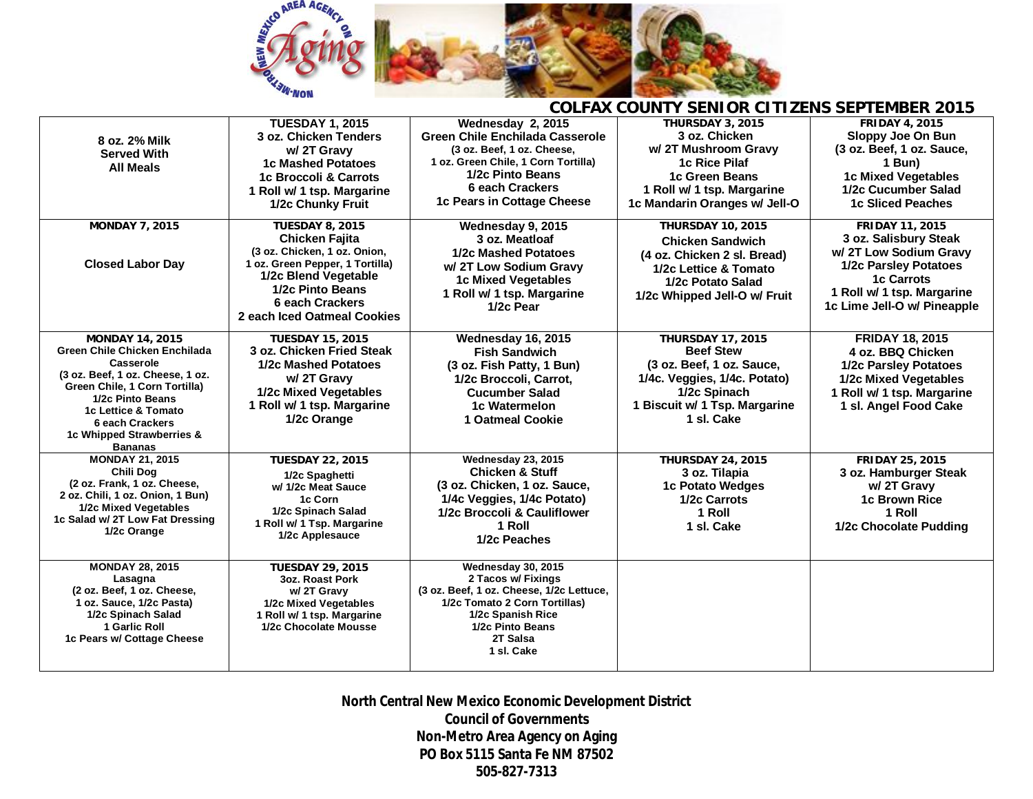

| 8 oz. 2% Milk<br><b>Served With</b><br><b>All Meals</b>                                                                                                                                                                                                | <b>TUESDAY 1, 2015</b><br>3 oz. Chicken Tenders<br>w/2T Gravy<br><b>1c Mashed Potatoes</b><br>1c Broccoli & Carrots<br>1 Roll w/ 1 tsp. Margarine<br>1/2c Chunky Fruit                                           | Wednesday 2, 2015<br><b>Green Chile Enchilada Casserole</b><br>(3 oz. Beef. 1 oz. Cheese.<br>1 oz. Green Chile, 1 Corn Tortilla)<br>1/2c Pinto Beans<br>6 each Crackers<br>1c Pears in Cottage Cheese | <b>THURSDAY 3, 2015</b><br>3 oz. Chicken<br>w/2T Mushroom Gravy<br>1c Rice Pilaf<br>1c Green Beans<br>1 Roll w/ 1 tsp. Margarine<br>1c Mandarin Oranges w/ Jell-O        | <b>FRIDAY 4, 2015</b><br>Sloppy Joe On Bun<br>(3 oz. Beef, 1 oz. Sauce,<br>1 Bun)<br><b>1c Mixed Vegetables</b><br>1/2c Cucumber Salad<br><b>1c Sliced Peaches</b>                  |
|--------------------------------------------------------------------------------------------------------------------------------------------------------------------------------------------------------------------------------------------------------|------------------------------------------------------------------------------------------------------------------------------------------------------------------------------------------------------------------|-------------------------------------------------------------------------------------------------------------------------------------------------------------------------------------------------------|--------------------------------------------------------------------------------------------------------------------------------------------------------------------------|-------------------------------------------------------------------------------------------------------------------------------------------------------------------------------------|
| <b>MONDAY 7, 2015</b><br><b>Closed Labor Day</b>                                                                                                                                                                                                       | <b>TUESDAY 8, 2015</b><br><b>Chicken Fajita</b><br>(3 oz. Chicken, 1 oz. Onion,<br>1 oz. Green Pepper, 1 Tortilla)<br>1/2c Blend Vegetable<br>1/2c Pinto Beans<br>6 each Crackers<br>2 each Iced Oatmeal Cookies | Wednesday 9, 2015<br>3 oz. Meatloaf<br>1/2c Mashed Potatoes<br>w/2T Low Sodium Gravy<br><b>1c Mixed Vegetables</b><br>1 Roll w/ 1 tsp. Margarine<br>1/2c Pear                                         | <b>THURSDAY 10, 2015</b><br><b>Chicken Sandwich</b><br>(4 oz. Chicken 2 sl. Bread)<br>1/2c Lettice & Tomato<br>1/2c Potato Salad<br>1/2c Whipped Jell-O w/ Fruit         | <b>FRIDAY 11, 2015</b><br>3 oz. Salisbury Steak<br>w/2T Low Sodium Gravy<br>1/2c Parsley Potatoes<br><b>1c Carrots</b><br>1 Roll w/ 1 tsp. Margarine<br>1c Lime Jell-O w/ Pineapple |
| <b>MONDAY 14, 2015</b><br>Green Chile Chicken Enchilada<br>Casserole<br>(3 oz. Beef, 1 oz. Cheese, 1 oz.<br>Green Chile, 1 Corn Tortilla)<br>1/2c Pinto Beans<br>1c Lettice & Tomato<br>6 each Crackers<br>1c Whipped Strawberries &<br><b>Bananas</b> | <b>TUESDAY 15, 2015</b><br>3 oz. Chicken Fried Steak<br>1/2c Mashed Potatoes<br>w/2T Gravy<br>1/2c Mixed Vegetables<br>1 Roll w/ 1 tsp. Margarine<br>1/2c Orange                                                 | Wednesday 16, 2015<br><b>Fish Sandwich</b><br>(3 oz. Fish Patty, 1 Bun)<br>1/2c Broccoli, Carrot,<br><b>Cucumber Salad</b><br>1c Watermelon<br>1 Oatmeal Cookie                                       | <b>THURSDAY 17, 2015</b><br><b>Beef Stew</b><br>(3 oz. Beef, 1 oz. Sauce,<br>1/4c. Veggies, 1/4c. Potato)<br>1/2c Spinach<br>1 Biscuit w/ 1 Tsp. Margarine<br>1 sl. Cake | <b>FRIDAY 18, 2015</b><br>4 oz. BBQ Chicken<br>1/2c Parsley Potatoes<br>1/2c Mixed Vegetables<br>1 Roll w/ 1 tsp. Margarine<br>1 sl. Angel Food Cake                                |
| <b>MONDAY 21, 2015</b><br>Chili Dog<br>(2 oz. Frank, 1 oz. Cheese,<br>2 oz. Chili, 1 oz. Onion, 1 Bun)<br>1/2c Mixed Vegetables<br>1c Salad w/ 2T Low Fat Dressing<br>1/2c Orange                                                                      | <b>TUESDAY 22, 2015</b><br>1/2c Spaghetti<br>w/ 1/2c Meat Sauce<br>1c Corn<br>1/2c Spinach Salad<br>1 Roll w/ 1 Tsp. Margarine<br>1/2c Applesauce                                                                | Wednesday 23, 2015<br><b>Chicken &amp; Stuff</b><br>(3 oz. Chicken, 1 oz. Sauce,<br>1/4c Veggies, 1/4c Potato)<br>1/2c Broccoli & Cauliflower<br>1 Roll<br>1/2c Peaches                               | <b>THURSDAY 24, 2015</b><br>3 oz. Tilapia<br>1c Potato Wedges<br>1/2c Carrots<br>1 Roll<br>1 sl. Cake                                                                    | <b>FRIDAY 25, 2015</b><br>3 oz. Hamburger Steak<br>w/2T Gravy<br><b>1c Brown Rice</b><br>1 Roll<br>1/2c Chocolate Pudding                                                           |
| <b>MONDAY 28, 2015</b><br>Lasagna<br>(2 oz. Beef, 1 oz. Cheese,<br>1 oz. Sauce, 1/2c Pasta)<br>1/2c Spinach Salad<br>1 Garlic Roll<br>1c Pears w/ Cottage Cheese                                                                                       | <b>TUESDAY 29, 2015</b><br>3oz. Roast Pork<br>w/2T Gravy<br>1/2c Mixed Vegetables<br>1 Roll w/ 1 tsp. Margarine<br>1/2c Chocolate Mousse                                                                         | Wednesday 30, 2015<br>2 Tacos w/ Fixings<br>(3 oz. Beef, 1 oz. Cheese, 1/2c Lettuce,<br>1/2c Tomato 2 Corn Tortillas)<br>1/2c Spanish Rice<br>1/2c Pinto Beans<br>2T Salsa<br>1 sl. Cake              |                                                                                                                                                                          |                                                                                                                                                                                     |

## **COLFAX COUNTY SENIOR CITIZENS SEPTEMBER 2015**

**North Central New Mexico Economic Development District Council of Governments Non-Metro Area Agency on Aging PO Box 5115 Santa Fe NM 87502 505-827-7313**